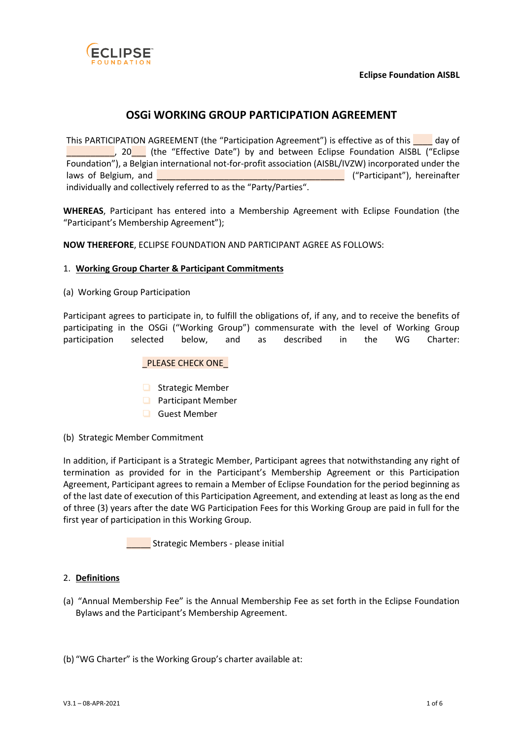

# **OSGi WORKING GROUP PARTICIPATION AGREEMENT**

This PARTICIPATION AGREEMENT (the "Participation Agreement") is effective as of this \_\_\_\_ day of <sup>1</sup> 20<sup>1</sup> (the "Effective Date") by and between Eclipse Foundation AISBL ("Eclipse Foundation"), a Belgian international not-for-profit association (AISBL/IVZW) incorporated under the laws of Belgium, and **Definition** Contains a set of the extension of Belgium, and  $\blacksquare$  ("Participant"), hereinafter individually and collectively referred to as the "Party/Parties".

**WHEREAS**, Participant has entered into a Membership Agreement with Eclipse Foundation (the "Participant's Membership Agreement");

**NOW THEREFORE**, ECLIPSE FOUNDATION AND PARTICIPANT AGREE AS FOLLOWS:

#### 1. **Working Group Charter & Participant Commitments**

(a) Working Group Participation

Participant agrees to participate in, to fulfill the obligations of, if any, and to receive the benefits of participating in the OSGi ("Working Group") commensurate with the level of Working Group participation selected below, and as described in the WG Charter:

#### PLEASE CHECK ONE

- ❏ Strategic Member
- ❏ Participant Member
- ❏ Guest Member
- (b) Strategic Member Commitment

In addition, if Participant is a Strategic Member, Participant agrees that notwithstanding any right of termination as provided for in the Participant's Membership Agreement or this Participation Agreement, Participant agrees to remain a Member of Eclipse Foundation for the period beginning as of the last date of execution of this Participation Agreement, and extending at least as long as the end of three (3) years after the date WG Participation Fees for this Working Group are paid in full for the first year of participation in this Working Group.

**External Strategic Members - please initial** 

## 2. **Definitions**

(a) "Annual Membership Fee" is the Annual Membership Fee as set forth in the Eclipse Foundation Bylaws and the Participant's Membership Agreement.

(b) "WG Charter" is the Working Group's charter available at: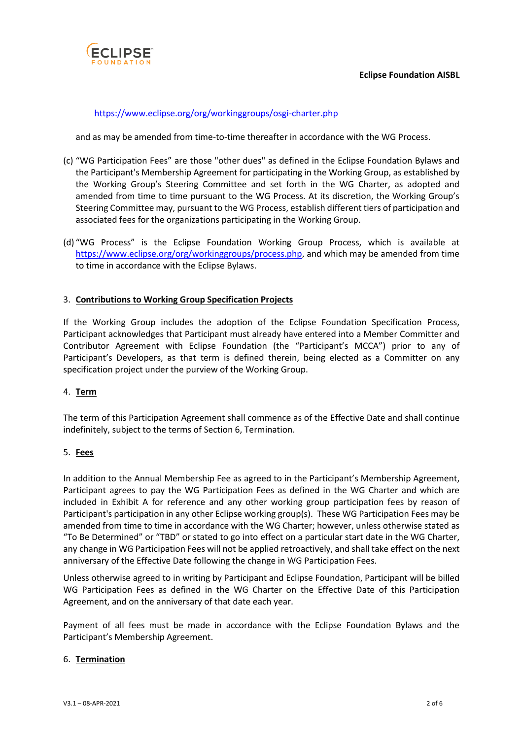

## <https://www.eclipse.org/org/workinggroups/osgi-charter.php>

and as may be amended from time-to-time thereafter in accordance with the WG Process.

- (c) "WG Participation Fees" are those "other dues" as defined in the Eclipse Foundation Bylaws and the Participant's Membership Agreement for participating in the Working Group, as established by the Working Group's Steering Committee and set forth in the WG Charter, as adopted and amended from time to time pursuant to the WG Process. At its discretion, the Working Group's Steering Committee may, pursuant to the WG Process, establish different tiers of participation and associated fees for the organizations participating in the Working Group.
- (d) "WG Process" is the Eclipse Foundation Working Group Process, which is available at [https://www.eclipse.org/org/workinggroups/process.php,](https://www.eclipse.org/org/workinggroups/process.php) and which may be amended from time to time in accordance with the Eclipse Bylaws.

## 3. **Contributions to Working Group Specification Projects**

If the Working Group includes the adoption of the Eclipse Foundation Specification Process, Participant acknowledges that Participant must already have entered into a Member Committer and Contributor Agreement with Eclipse Foundation (the "Participant's MCCA") prior to any of Participant's Developers, as that term is defined therein, being elected as a Committer on any specification project under the purview of the Working Group.

#### 4. **Term**

The term of this Participation Agreement shall commence as of the Effective Date and shall continue indefinitely, subject to the terms of Section 6, Termination.

## 5. **Fees**

In addition to the Annual Membership Fee as agreed to in the Participant's Membership Agreement, Participant agrees to pay the WG Participation Fees as defined in the WG Charter and which are included in Exhibit A for reference and any other working group participation fees by reason of Participant's participation in any other Eclipse working group(s). These WG Participation Fees may be amended from time to time in accordance with the WG Charter; however, unless otherwise stated as "To Be Determined" or "TBD" or stated to go into effect on a particular start date in the WG Charter, any change in WG Participation Fees will not be applied retroactively, and shall take effect on the next anniversary of the Effective Date following the change in WG Participation Fees.

Unless otherwise agreed to in writing by Participant and Eclipse Foundation, Participant will be billed WG Participation Fees as defined in the WG Charter on the Effective Date of this Participation Agreement, and on the anniversary of that date each year.

Payment of all fees must be made in accordance with the Eclipse Foundation Bylaws and the Participant's Membership Agreement.

#### 6. **Termination**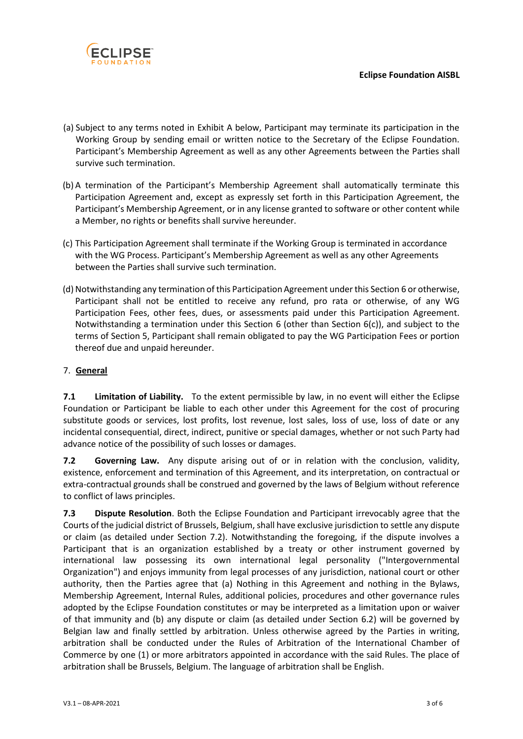

- (a) Subject to any terms noted in Exhibit A below, Participant may terminate its participation in the Working Group by sending email or written notice to the Secretary of the Eclipse Foundation. Participant's Membership Agreement as well as any other Agreements between the Parties shall survive such termination.
- (b) A termination of the Participant's Membership Agreement shall automatically terminate this Participation Agreement and, except as expressly set forth in this Participation Agreement, the Participant's Membership Agreement, or in any license granted to software or other content while a Member, no rights or benefits shall survive hereunder.
- (c) This Participation Agreement shall terminate if the Working Group is terminated in accordance with the WG Process. Participant's Membership Agreement as well as any other Agreements between the Parties shall survive such termination.
- (d) Notwithstanding any termination of this Participation Agreement under this Section 6 or otherwise, Participant shall not be entitled to receive any refund, pro rata or otherwise, of any WG Participation Fees, other fees, dues, or assessments paid under this Participation Agreement. Notwithstanding a termination under this Section 6 (other than Section 6(c)), and subject to the terms of Section 5, Participant shall remain obligated to pay the WG Participation Fees or portion thereof due and unpaid hereunder.

## 7. **General**

**7.1 Limitation of Liability.** To the extent permissible by law, in no event will either the Eclipse Foundation or Participant be liable to each other under this Agreement for the cost of procuring substitute goods or services, lost profits, lost revenue, lost sales, loss of use, loss of date or any incidental consequential, direct, indirect, punitive or special damages, whether or not such Party had advance notice of the possibility of such losses or damages.

**7.2 Governing Law.** Any dispute arising out of or in relation with the conclusion, validity, existence, enforcement and termination of this Agreement, and its interpretation, on contractual or extra-contractual grounds shall be construed and governed by the laws of Belgium without reference to conflict of laws principles.

**7.3 Dispute Resolution**. Both the Eclipse Foundation and Participant irrevocably agree that the Courts of the judicial district of Brussels, Belgium, shall have exclusive jurisdiction to settle any dispute or claim (as detailed under Section 7.2). Notwithstanding the foregoing, if the dispute involves a Participant that is an organization established by a treaty or other instrument governed by international law possessing its own international legal personality ("Intergovernmental Organization") and enjoys immunity from legal processes of any jurisdiction, national court or other authority, then the Parties agree that (a) Nothing in this Agreement and nothing in the Bylaws, Membership Agreement, Internal Rules, additional policies, procedures and other governance rules adopted by the Eclipse Foundation constitutes or may be interpreted as a limitation upon or waiver of that immunity and (b) any dispute or claim (as detailed under Section 6.2) will be governed by Belgian law and finally settled by arbitration. Unless otherwise agreed by the Parties in writing, arbitration shall be conducted under the Rules of Arbitration of the International Chamber of Commerce by one (1) or more arbitrators appointed in accordance with the said Rules. The place of arbitration shall be Brussels, Belgium. The language of arbitration shall be English.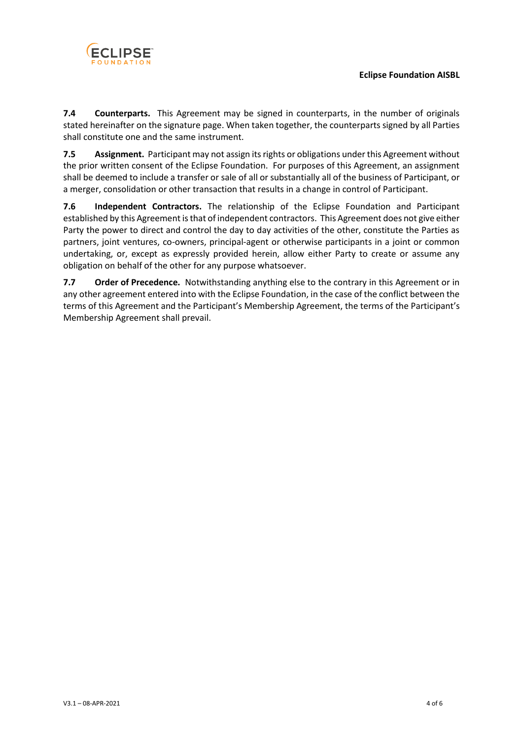

**7.4 Counterparts.** This Agreement may be signed in counterparts, in the number of originals stated hereinafter on the signature page. When taken together, the counterparts signed by all Parties shall constitute one and the same instrument.

**7.5 Assignment.** Participant may not assign its rights or obligations under this Agreement without the prior written consent of the Eclipse Foundation. For purposes of this Agreement, an assignment shall be deemed to include a transfer or sale of all or substantially all of the business of Participant, or a merger, consolidation or other transaction that results in a change in control of Participant.

**7.6 Independent Contractors.** The relationship of the Eclipse Foundation and Participant established by this Agreement is that of independent contractors. This Agreement does not give either Party the power to direct and control the day to day activities of the other, constitute the Parties as partners, joint ventures, co-owners, principal-agent or otherwise participants in a joint or common undertaking, or, except as expressly provided herein, allow either Party to create or assume any obligation on behalf of the other for any purpose whatsoever.

**7.7 Order of Precedence.** Notwithstanding anything else to the contrary in this Agreement or in any other agreement entered into with the Eclipse Foundation, in the case of the conflict between the terms of this Agreement and the Participant's Membership Agreement, the terms of the Participant's Membership Agreement shall prevail.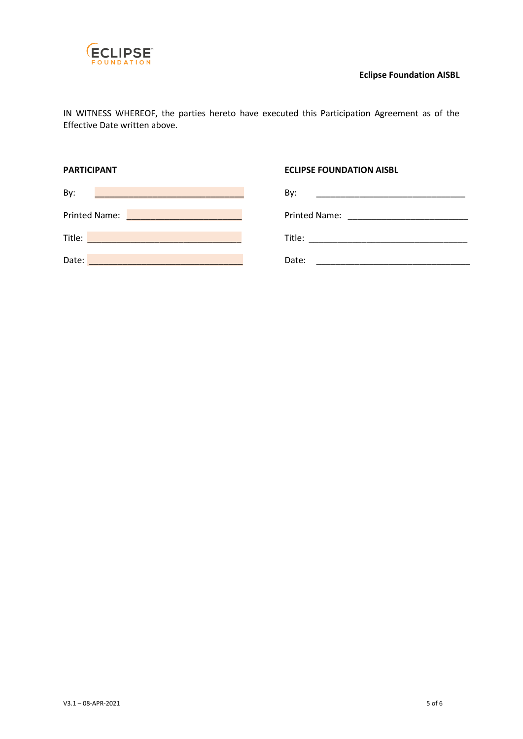

IN WITNESS WHEREOF, the parties hereto have executed this Participation Agreement as of the Effective Date written above.

## **PARTICIPANT CONSUMING THE ECLIPSE FOUNDATION AISBL**

| By:                                                                                                                                           | By:<br><u> 1989 - Johann John Harry Harry Harry Harry Harry Harry Harry Harry Harry Harry Harry Harry Harry Harry Harry H</u> |
|-----------------------------------------------------------------------------------------------------------------------------------------------|-------------------------------------------------------------------------------------------------------------------------------|
| <b>Printed Name:</b><br><u> La Carlo de la Carlo de la Carlo de la Carlo de la Carlo de la Carlo de la Carlo de la Carlo de la Carlo de l</u> |                                                                                                                               |
| Title:                                                                                                                                        | Title:                                                                                                                        |
| Date:                                                                                                                                         | Date:                                                                                                                         |